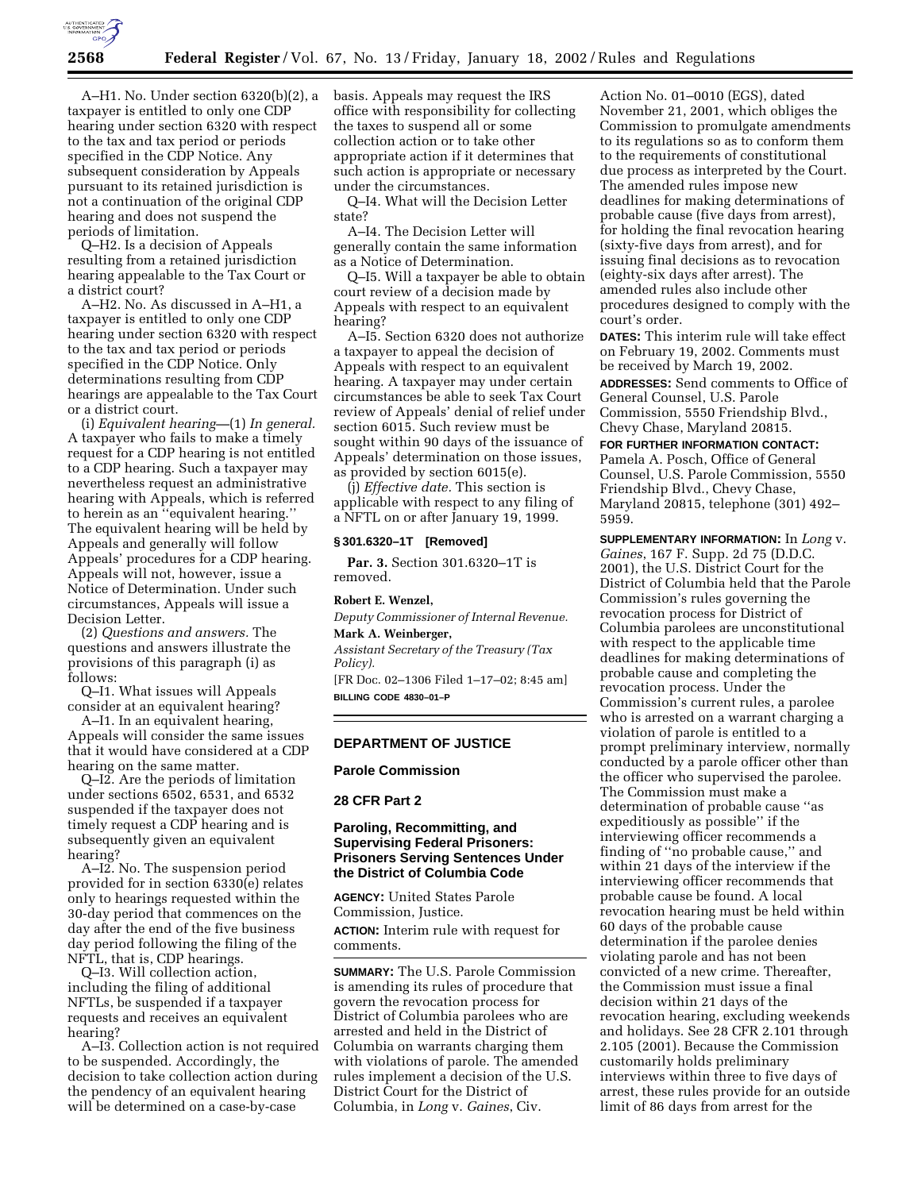

A–H1. No. Under section 6320(b)(2), a taxpayer is entitled to only one CDP hearing under section 6320 with respect to the tax and tax period or periods specified in the CDP Notice. Any subsequent consideration by Appeals pursuant to its retained jurisdiction is not a continuation of the original CDP hearing and does not suspend the periods of limitation.

Q–H2. Is a decision of Appeals resulting from a retained jurisdiction hearing appealable to the Tax Court or a district court?

A–H2. No. As discussed in A–H1, a taxpayer is entitled to only one CDP hearing under section 6320 with respect to the tax and tax period or periods specified in the CDP Notice. Only determinations resulting from CDP hearings are appealable to the Tax Court or a district court.

(i) *Equivalent hearing—*(1) *In general.* A taxpayer who fails to make a timely request for a CDP hearing is not entitled to a CDP hearing. Such a taxpayer may nevertheless request an administrative hearing with Appeals, which is referred to herein as an ''equivalent hearing.'' The equivalent hearing will be held by Appeals and generally will follow Appeals' procedures for a CDP hearing. Appeals will not, however, issue a Notice of Determination. Under such circumstances, Appeals will issue a Decision Letter.

(2) *Questions and answers.* The questions and answers illustrate the provisions of this paragraph (i) as follows:

Q–I1. What issues will Appeals consider at an equivalent hearing?

A–I1. In an equivalent hearing, Appeals will consider the same issues that it would have considered at a CDP hearing on the same matter.

Q–I2. Are the periods of limitation under sections 6502, 6531, and 6532 suspended if the taxpayer does not timely request a CDP hearing and is subsequently given an equivalent hearing?

A–I2. No. The suspension period provided for in section 6330(e) relates only to hearings requested within the 30-day period that commences on the day after the end of the five business day period following the filing of the NFTL, that is, CDP hearings.

Q–I3. Will collection action, including the filing of additional NFTLs, be suspended if a taxpayer requests and receives an equivalent hearing?

A–I3. Collection action is not required to be suspended. Accordingly, the decision to take collection action during the pendency of an equivalent hearing will be determined on a case-by-case

basis. Appeals may request the IRS office with responsibility for collecting the taxes to suspend all or some collection action or to take other appropriate action if it determines that such action is appropriate or necessary under the circumstances.

Q–I4. What will the Decision Letter state?

A–I4. The Decision Letter will generally contain the same information as a Notice of Determination.

Q–I5. Will a taxpayer be able to obtain court review of a decision made by Appeals with respect to an equivalent hearing?

A–I5. Section 6320 does not authorize a taxpayer to appeal the decision of Appeals with respect to an equivalent hearing. A taxpayer may under certain circumstances be able to seek Tax Court review of Appeals' denial of relief under section 6015. Such review must be sought within 90 days of the issuance of Appeals' determination on those issues, as provided by section 6015(e).

(j) *Effective date.* This section is applicable with respect to any filing of a NFTL on or after January 19, 1999.

#### **§ 301.6320–1T [Removed]**

**Par. 3.** Section 301.6320–1T is removed.

### **Robert E. Wenzel,**

*Deputy Commissioner of Internal Revenue.* **Mark A. Weinberger,**

*Assistant Secretary of the Treasury (Tax Policy).*

[FR Doc. 02–1306 Filed 1–17–02; 8:45 am] **BILLING CODE 4830–01–P**

## **DEPARTMENT OF JUSTICE**

**Parole Commission**

## **28 CFR Part 2**

# **Paroling, Recommitting, and Supervising Federal Prisoners: Prisoners Serving Sentences Under the District of Columbia Code**

**AGENCY:** United States Parole Commission, Justice. **ACTION:** Interim rule with request for comments.

**SUMMARY:** The U.S. Parole Commission is amending its rules of procedure that govern the revocation process for District of Columbia parolees who are arrested and held in the District of Columbia on warrants charging them with violations of parole. The amended rules implement a decision of the U.S. District Court for the District of Columbia, in *Long* v. *Gaines*, Civ.

Action No. 01–0010 (EGS), dated November 21, 2001, which obliges the Commission to promulgate amendments to its regulations so as to conform them to the requirements of constitutional due process as interpreted by the Court. The amended rules impose new deadlines for making determinations of probable cause (five days from arrest), for holding the final revocation hearing (sixty-five days from arrest), and for issuing final decisions as to revocation (eighty-six days after arrest). The amended rules also include other procedures designed to comply with the court's order.

**DATES:** This interim rule will take effect on February 19, 2002. Comments must be received by March 19, 2002.

**ADDRESSES:** Send comments to Office of General Counsel, U.S. Parole Commission, 5550 Friendship Blvd., Chevy Chase, Maryland 20815.

**FOR FURTHER INFORMATION CONTACT:** Pamela A. Posch, Office of General Counsel, U.S. Parole Commission, 5550 Friendship Blvd., Chevy Chase, Maryland 20815, telephone (301) 492– 5959.

**SUPPLEMENTARY INFORMATION:** In *Long* v. *Gaines*, 167 F. Supp. 2d 75 (D.D.C. 2001), the U.S. District Court for the District of Columbia held that the Parole Commission's rules governing the revocation process for District of Columbia parolees are unconstitutional with respect to the applicable time deadlines for making determinations of probable cause and completing the revocation process. Under the Commission's current rules, a parolee who is arrested on a warrant charging a violation of parole is entitled to a prompt preliminary interview, normally conducted by a parole officer other than the officer who supervised the parolee. The Commission must make a determination of probable cause ''as expeditiously as possible'' if the interviewing officer recommends a finding of ''no probable cause,'' and within 21 days of the interview if the interviewing officer recommends that probable cause be found. A local revocation hearing must be held within 60 days of the probable cause determination if the parolee denies violating parole and has not been convicted of a new crime. Thereafter, the Commission must issue a final decision within 21 days of the revocation hearing, excluding weekends and holidays. See 28 CFR 2.101 through 2.105 (2001). Because the Commission customarily holds preliminary interviews within three to five days of arrest, these rules provide for an outside limit of 86 days from arrest for the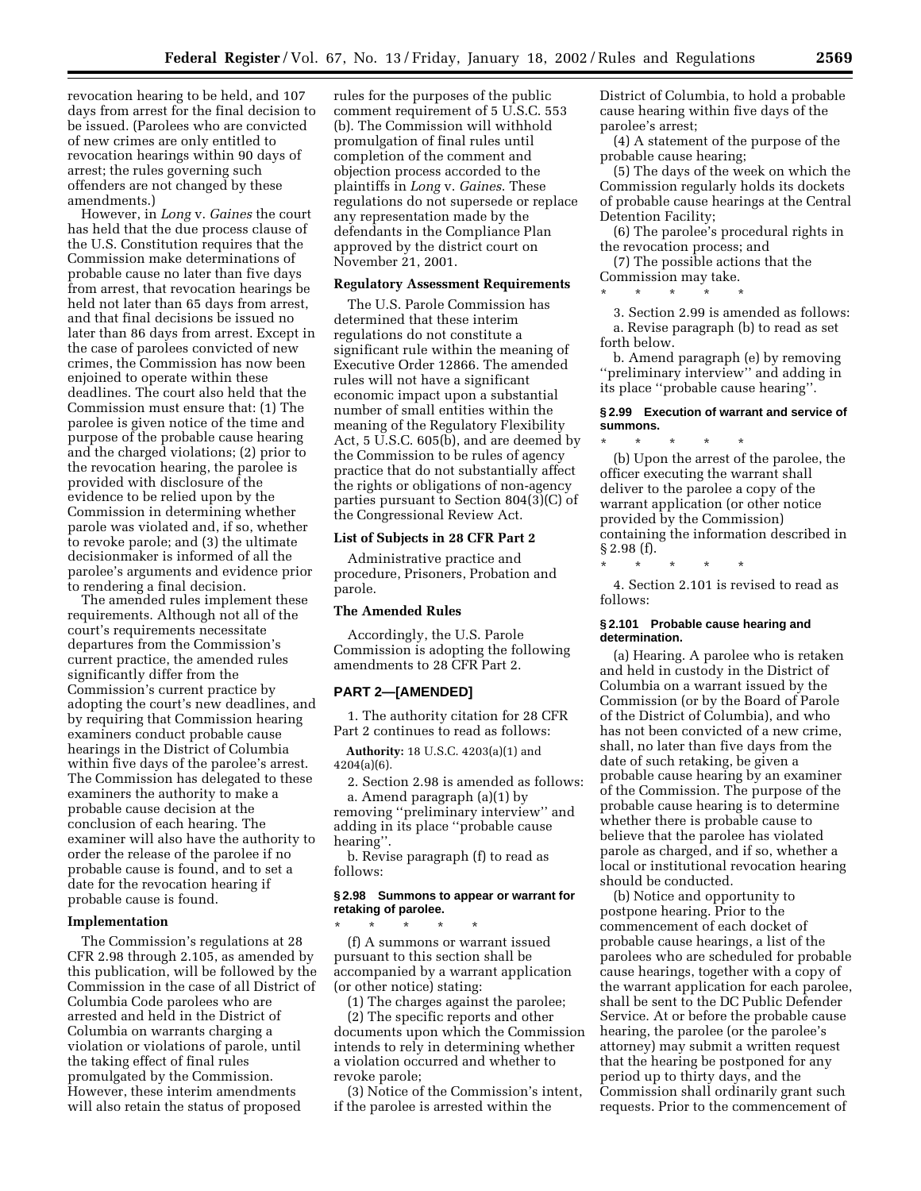revocation hearing to be held, and 107 days from arrest for the final decision to be issued. (Parolees who are convicted of new crimes are only entitled to revocation hearings within 90 days of arrest; the rules governing such offenders are not changed by these amendments.)

However, in *Long* v. *Gaines* the court has held that the due process clause of the U.S. Constitution requires that the Commission make determinations of probable cause no later than five days from arrest, that revocation hearings be held not later than 65 days from arrest, and that final decisions be issued no later than 86 days from arrest. Except in the case of parolees convicted of new crimes, the Commission has now been enjoined to operate within these deadlines. The court also held that the Commission must ensure that: (1) The parolee is given notice of the time and purpose of the probable cause hearing and the charged violations; (2) prior to the revocation hearing, the parolee is provided with disclosure of the evidence to be relied upon by the Commission in determining whether parole was violated and, if so, whether to revoke parole; and (3) the ultimate decisionmaker is informed of all the parolee's arguments and evidence prior to rendering a final decision.

The amended rules implement these requirements. Although not all of the court's requirements necessitate departures from the Commission's current practice, the amended rules significantly differ from the Commission's current practice by adopting the court's new deadlines, and by requiring that Commission hearing examiners conduct probable cause hearings in the District of Columbia within five days of the parolee's arrest. The Commission has delegated to these examiners the authority to make a probable cause decision at the conclusion of each hearing. The examiner will also have the authority to order the release of the parolee if no probable cause is found, and to set a date for the revocation hearing if probable cause is found.

### **Implementation**

The Commission's regulations at 28 CFR 2.98 through 2.105, as amended by this publication, will be followed by the Commission in the case of all District of Columbia Code parolees who are arrested and held in the District of Columbia on warrants charging a violation or violations of parole, until the taking effect of final rules promulgated by the Commission. However, these interim amendments will also retain the status of proposed

rules for the purposes of the public comment requirement of 5 U.S.C. 553 (b). The Commission will withhold promulgation of final rules until completion of the comment and objection process accorded to the plaintiffs in *Long* v. *Gaines*. These regulations do not supersede or replace any representation made by the defendants in the Compliance Plan approved by the district court on November 21, 2001.

### **Regulatory Assessment Requirements**

The U.S. Parole Commission has determined that these interim regulations do not constitute a significant rule within the meaning of Executive Order 12866. The amended rules will not have a significant economic impact upon a substantial number of small entities within the meaning of the Regulatory Flexibility Act, 5 U.S.C. 605(b), and are deemed by the Commission to be rules of agency practice that do not substantially affect the rights or obligations of non-agency parties pursuant to Section 804(3)(C) of the Congressional Review Act.

#### **List of Subjects in 28 CFR Part 2**

Administrative practice and procedure, Prisoners, Probation and parole.

# **The Amended Rules**

Accordingly, the U.S. Parole Commission is adopting the following amendments to 28 CFR Part 2.

### **PART 2—[AMENDED]**

1. The authority citation for 28 CFR Part 2 continues to read as follows:

**Authority:** 18 U.S.C. 4203(a)(1) and 4204(a)(6).

2. Section 2.98 is amended as follows: a. Amend paragraph (a)(1) by

removing ''preliminary interview'' and adding in its place ''probable cause hearing''.

b. Revise paragraph (f) to read as follows:

### **§ 2.98 Summons to appear or warrant for retaking of parolee.**

\* \* \* \* \* (f) A summons or warrant issued pursuant to this section shall be accompanied by a warrant application (or other notice) stating:

(1) The charges against the parolee;

(2) The specific reports and other documents upon which the Commission intends to rely in determining whether a violation occurred and whether to revoke parole;

(3) Notice of the Commission's intent, if the parolee is arrested within the

District of Columbia, to hold a probable cause hearing within five days of the parolee's arrest;

(4) A statement of the purpose of the probable cause hearing;

(5) The days of the week on which the Commission regularly holds its dockets of probable cause hearings at the Central Detention Facility;

(6) The parolee's procedural rights in the revocation process; and

(7) The possible actions that the Commission may take.

\* \* \* \* \*

3. Section 2.99 is amended as follows: a. Revise paragraph (b) to read as set forth below.

b. Amend paragraph (e) by removing ''preliminary interview'' and adding in its place ''probable cause hearing''.

### **§ 2.99 Execution of warrant and service of summons.**

\* \* \* \* \* (b) Upon the arrest of the parolee, the officer executing the warrant shall deliver to the parolee a copy of the warrant application (or other notice provided by the Commission) containing the information described in § 2.98 (f).

\* \* \* \* \* 4. Section 2.101 is revised to read as

follows:

### **§ 2.101 Probable cause hearing and determination.**

(a) Hearing. A parolee who is retaken and held in custody in the District of Columbia on a warrant issued by the Commission (or by the Board of Parole of the District of Columbia), and who has not been convicted of a new crime, shall, no later than five days from the date of such retaking, be given a probable cause hearing by an examiner of the Commission. The purpose of the probable cause hearing is to determine whether there is probable cause to believe that the parolee has violated parole as charged, and if so, whether a local or institutional revocation hearing should be conducted.

(b) Notice and opportunity to postpone hearing. Prior to the commencement of each docket of probable cause hearings, a list of the parolees who are scheduled for probable cause hearings, together with a copy of the warrant application for each parolee, shall be sent to the DC Public Defender Service. At or before the probable cause hearing, the parolee (or the parolee's attorney) may submit a written request that the hearing be postponed for any period up to thirty days, and the Commission shall ordinarily grant such requests. Prior to the commencement of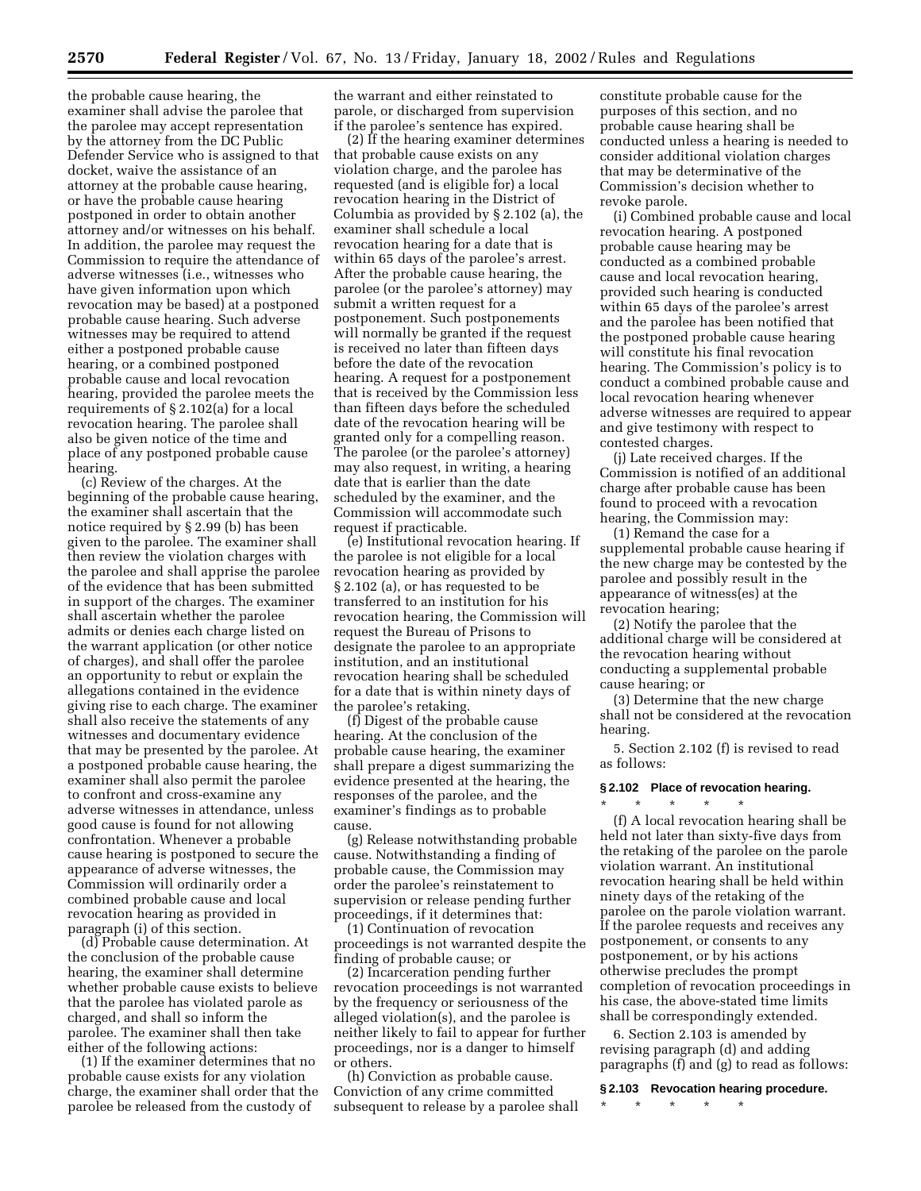the probable cause hearing, the examiner shall advise the parolee that the parolee may accept representation by the attorney from the DC Public Defender Service who is assigned to that docket, waive the assistance of an attorney at the probable cause hearing, or have the probable cause hearing postponed in order to obtain another attorney and/or witnesses on his behalf. In addition, the parolee may request the Commission to require the attendance of adverse witnesses (i.e., witnesses who have given information upon which revocation may be based) at a postponed probable cause hearing. Such adverse witnesses may be required to attend either a postponed probable cause hearing, or a combined postponed probable cause and local revocation hearing, provided the parolee meets the requirements of § 2.102(a) for a local revocation hearing. The parolee shall also be given notice of the time and place of any postponed probable cause hearing.

(c) Review of the charges. At the beginning of the probable cause hearing, the examiner shall ascertain that the notice required by § 2.99 (b) has been given to the parolee. The examiner shall then review the violation charges with the parolee and shall apprise the parolee of the evidence that has been submitted in support of the charges. The examiner shall ascertain whether the parolee admits or denies each charge listed on the warrant application (or other notice of charges), and shall offer the parolee an opportunity to rebut or explain the allegations contained in the evidence giving rise to each charge. The examiner shall also receive the statements of any witnesses and documentary evidence that may be presented by the parolee. At a postponed probable cause hearing, the examiner shall also permit the parolee to confront and cross-examine any adverse witnesses in attendance, unless good cause is found for not allowing confrontation. Whenever a probable cause hearing is postponed to secure the appearance of adverse witnesses, the Commission will ordinarily order a combined probable cause and local revocation hearing as provided in paragraph (i) of this section.

(d) Probable cause determination. At the conclusion of the probable cause hearing, the examiner shall determine whether probable cause exists to believe that the parolee has violated parole as charged, and shall so inform the parolee. The examiner shall then take either of the following actions:

(1) If the examiner determines that no probable cause exists for any violation charge, the examiner shall order that the parolee be released from the custody of

the warrant and either reinstated to parole, or discharged from supervision if the parolee's sentence has expired.

(2) If the hearing examiner determines that probable cause exists on any violation charge, and the parolee has requested (and is eligible for) a local revocation hearing in the District of Columbia as provided by § 2.102 (a), the examiner shall schedule a local revocation hearing for a date that is within 65 days of the parolee's arrest. After the probable cause hearing, the parolee (or the parolee's attorney) may submit a written request for a postponement. Such postponements will normally be granted if the request is received no later than fifteen days before the date of the revocation hearing. A request for a postponement that is received by the Commission less than fifteen days before the scheduled date of the revocation hearing will be granted only for a compelling reason. The parolee (or the parolee's attorney) may also request, in writing, a hearing date that is earlier than the date scheduled by the examiner, and the Commission will accommodate such request if practicable.

(e) Institutional revocation hearing. If the parolee is not eligible for a local revocation hearing as provided by § 2.102 (a), or has requested to be transferred to an institution for his revocation hearing, the Commission will request the Bureau of Prisons to designate the parolee to an appropriate institution, and an institutional revocation hearing shall be scheduled for a date that is within ninety days of the parolee's retaking.

(f) Digest of the probable cause hearing. At the conclusion of the probable cause hearing, the examiner shall prepare a digest summarizing the evidence presented at the hearing, the responses of the parolee, and the examiner's findings as to probable cause.

(g) Release notwithstanding probable cause. Notwithstanding a finding of probable cause, the Commission may order the parolee's reinstatement to supervision or release pending further proceedings, if it determines that:

(1) Continuation of revocation proceedings is not warranted despite the finding of probable cause; or

(2) Incarceration pending further revocation proceedings is not warranted by the frequency or seriousness of the alleged violation(s), and the parolee is neither likely to fail to appear for further proceedings, nor is a danger to himself or others.

(h) Conviction as probable cause. Conviction of any crime committed subsequent to release by a parolee shall

constitute probable cause for the purposes of this section, and no probable cause hearing shall be conducted unless a hearing is needed to consider additional violation charges that may be determinative of the Commission's decision whether to revoke parole.

(i) Combined probable cause and local revocation hearing. A postponed probable cause hearing may be conducted as a combined probable cause and local revocation hearing, provided such hearing is conducted within 65 days of the parolee's arrest and the parolee has been notified that the postponed probable cause hearing will constitute his final revocation hearing. The Commission's policy is to conduct a combined probable cause and local revocation hearing whenever adverse witnesses are required to appear and give testimony with respect to contested charges.

(j) Late received charges. If the Commission is notified of an additional charge after probable cause has been found to proceed with a revocation hearing, the Commission may:

(1) Remand the case for a supplemental probable cause hearing if the new charge may be contested by the parolee and possibly result in the appearance of witness(es) at the revocation hearing;

(2) Notify the parolee that the additional charge will be considered at the revocation hearing without conducting a supplemental probable cause hearing; or

(3) Determine that the new charge shall not be considered at the revocation hearing.

5. Section 2.102 (f) is revised to read as follows:

# **§ 2.102 Place of revocation hearing.**

\* \* \* \* \*

(f) A local revocation hearing shall be held not later than sixty-five days from the retaking of the parolee on the parole violation warrant. An institutional revocation hearing shall be held within ninety days of the retaking of the parolee on the parole violation warrant. If the parolee requests and receives any postponement, or consents to any postponement, or by his actions otherwise precludes the prompt completion of revocation proceedings in his case, the above-stated time limits shall be correspondingly extended.

6. Section 2.103 is amended by revising paragraph (d) and adding paragraphs (f) and (g) to read as follows:

**§ 2.103 Revocation hearing procedure.**

\* \* \* \* \*